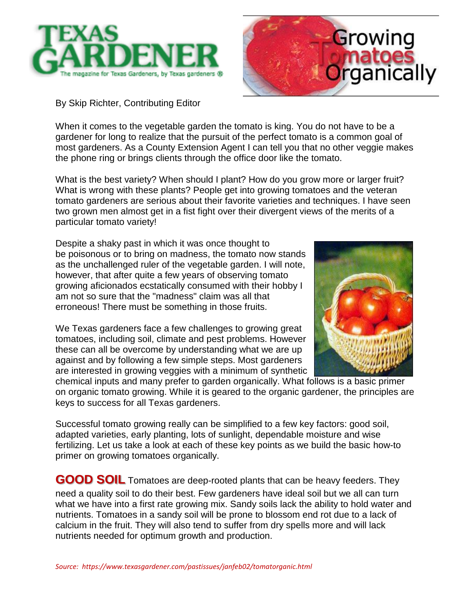



By Skip Richter, Contributing Editor

When it comes to the vegetable garden the tomato is king. You do not have to be a gardener for long to realize that the pursuit of the perfect tomato is a common goal of most gardeners. As a County Extension Agent I can tell you that no other veggie makes the phone ring or brings clients through the office door like the tomato.

What is the best variety? When should I plant? How do you grow more or larger fruit? What is wrong with these plants? People get into growing tomatoes and the veteran tomato gardeners are serious about their favorite varieties and techniques. I have seen two grown men almost get in a fist fight over their divergent views of the merits of a particular tomato variety!

Despite a shaky past in which it was once thought to be poisonous or to bring on madness, the tomato now stands as the unchallenged ruler of the vegetable garden. I will note, however, that after quite a few years of observing tomato growing aficionados ecstatically consumed with their hobby I am not so sure that the "madness" claim was all that erroneous! There must be something in those fruits.

We Texas gardeners face a few challenges to growing great tomatoes, including soil, climate and pest problems. However these can all be overcome by understanding what we are up against and by following a few simple steps. Most gardeners are interested in growing veggies with a minimum of synthetic



chemical inputs and many prefer to garden organically. What follows is a basic primer on organic tomato growing. While it is geared to the organic gardener, the principles are keys to success for all Texas gardeners.

Successful tomato growing really can be simplified to a few key factors: good soil, adapted varieties, early planting, lots of sunlight, dependable moisture and wise fertilizing. Let us take a look at each of these key points as we build the basic how-to primer on growing tomatoes organically.

**GOOD SOIL** Tomatoes are deep-rooted plants that can be heavy feeders. They need a quality soil to do their best. Few gardeners have ideal soil but we all can turn what we have into a first rate growing mix. Sandy soils lack the ability to hold water and nutrients. Tomatoes in a sandy soil will be prone to blossom end rot due to a lack of calcium in the fruit. They will also tend to suffer from dry spells more and will lack nutrients needed for optimum growth and production.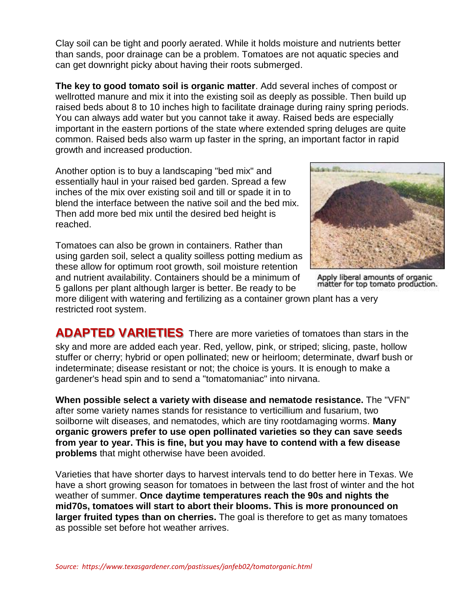Clay soil can be tight and poorly aerated. While it holds moisture and nutrients better than sands, poor drainage can be a problem. Tomatoes are not aquatic species and can get downright picky about having their roots submerged.

**The key to good tomato soil is organic matter**. Add several inches of compost or wellrotted manure and mix it into the existing soil as deeply as possible. Then build up raised beds about 8 to 10 inches high to facilitate drainage during rainy spring periods. You can always add water but you cannot take it away. Raised beds are especially important in the eastern portions of the state where extended spring deluges are quite common. Raised beds also warm up faster in the spring, an important factor in rapid growth and increased production.

Another option is to buy a landscaping "bed mix" and essentially haul in your raised bed garden. Spread a few inches of the mix over existing soil and till or spade it in to blend the interface between the native soil and the bed mix. Then add more bed mix until the desired bed height is reached.

Tomatoes can also be grown in containers. Rather than using garden soil, select a quality soilless potting medium as these allow for optimum root growth, soil moisture retention and nutrient availability. Containers should be a minimum of 5 gallons per plant although larger is better. Be ready to be



Apply liberal amounts of organic matter for top tomato production.

more diligent with watering and fertilizing as a container grown plant has a very restricted root system.

**ADAPTED VARIETIES** There are more varieties of tomatoes than stars in the sky and more are added each year. Red, yellow, pink, or striped; slicing, paste, hollow stuffer or cherry; hybrid or open pollinated; new or heirloom; determinate, dwarf bush or indeterminate; disease resistant or not; the choice is yours. It is enough to make a gardener's head spin and to send a "tomatomaniac" into nirvana.

**When possible select a variety with disease and nematode resistance.** The "VFN" after some variety names stands for resistance to verticillium and fusarium, two soilborne wilt diseases, and nematodes, which are tiny rootdamaging worms. **Many organic growers prefer to use open pollinated varieties so they can save seeds from year to year. This is fine, but you may have to contend with a few disease problems** that might otherwise have been avoided.

Varieties that have shorter days to harvest intervals tend to do better here in Texas. We have a short growing season for tomatoes in between the last frost of winter and the hot weather of summer. **Once daytime temperatures reach the 90s and nights the mid70s, tomatoes will start to abort their blooms. This is more pronounced on larger fruited types than on cherries.** The goal is therefore to get as many tomatoes as possible set before hot weather arrives.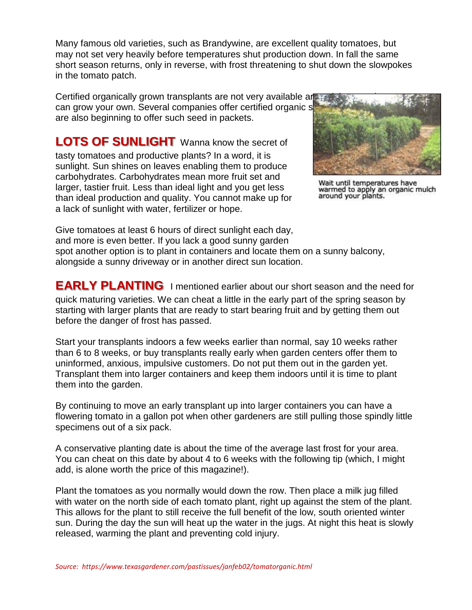Many famous old varieties, such as Brandywine, are excellent quality tomatoes, but may not set very heavily before temperatures shut production down. In fall the same short season returns, only in reverse, with frost threatening to shut down the slowpokes in the tomato patch.

Certified organically grown transplants are not very available are can grow your own. Several companies offer certified organic s are also beginning to offer such seed in packets.

**LOTS OF SUNLIGHT** Wanna know the secret of tasty tomatoes and productive plants? In a word, it is sunlight. Sun shines on leaves enabling them to produce carbohydrates. Carbohydrates mean more fruit set and larger, tastier fruit. Less than ideal light and you get less than ideal production and quality. You cannot make up for a lack of sunlight with water, fertilizer or hope.



Wait until temperatures have warmed to apply an organic mulch<br>around your plants.

Give tomatoes at least 6 hours of direct sunlight each day, and more is even better. If you lack a good sunny garden spot another option is to plant in containers and locate them on a sunny balcony, alongside a sunny driveway or in another direct sun location.

**EARLY PLANTING** I mentioned earlier about our short season and the need for quick maturing varieties. We can cheat a little in the early part of the spring season by starting with larger plants that are ready to start bearing fruit and by getting them out before the danger of frost has passed.

Start your transplants indoors a few weeks earlier than normal, say 10 weeks rather than 6 to 8 weeks, or buy transplants really early when garden centers offer them to uninformed, anxious, impulsive customers. Do not put them out in the garden yet. Transplant them into larger containers and keep them indoors until it is time to plant them into the garden.

By continuing to move an early transplant up into larger containers you can have a flowering tomato in a gallon pot when other gardeners are still pulling those spindly little specimens out of a six pack.

A conservative planting date is about the time of the average last frost for your area. You can cheat on this date by about 4 to 6 weeks with the following tip (which, I might add, is alone worth the price of this magazine!).

Plant the tomatoes as you normally would down the row. Then place a milk jug filled with water on the north side of each tomato plant, right up against the stem of the plant. This allows for the plant to still receive the full benefit of the low, south oriented winter sun. During the day the sun will heat up the water in the jugs. At night this heat is slowly released, warming the plant and preventing cold injury.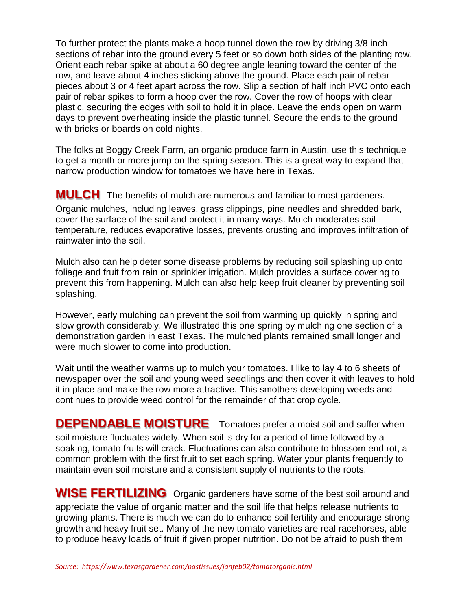To further protect the plants make a hoop tunnel down the row by driving 3/8 inch sections of rebar into the ground every 5 feet or so down both sides of the planting row. Orient each rebar spike at about a 60 degree angle leaning toward the center of the row, and leave about 4 inches sticking above the ground. Place each pair of rebar pieces about 3 or 4 feet apart across the row. Slip a section of half inch PVC onto each pair of rebar spikes to form a hoop over the row. Cover the row of hoops with clear plastic, securing the edges with soil to hold it in place. Leave the ends open on warm days to prevent overheating inside the plastic tunnel. Secure the ends to the ground with bricks or boards on cold nights.

The folks at Boggy Creek Farm, an organic produce farm in Austin, use this technique to get a month or more jump on the spring season. This is a great way to expand that narrow production window for tomatoes we have here in Texas.

**MULCH** The benefits of mulch are numerous and familiar to most gardeners. Organic mulches, including leaves, grass clippings, pine needles and shredded bark, cover the surface of the soil and protect it in many ways. Mulch moderates soil temperature, reduces evaporative losses, prevents crusting and improves infiltration of rainwater into the soil.

Mulch also can help deter some disease problems by reducing soil splashing up onto foliage and fruit from rain or sprinkler irrigation. Mulch provides a surface covering to prevent this from happening. Mulch can also help keep fruit cleaner by preventing soil splashing.

However, early mulching can prevent the soil from warming up quickly in spring and slow growth considerably. We illustrated this one spring by mulching one section of a demonstration garden in east Texas. The mulched plants remained small longer and were much slower to come into production.

Wait until the weather warms up to mulch your tomatoes. I like to lay 4 to 6 sheets of newspaper over the soil and young weed seedlings and then cover it with leaves to hold it in place and make the row more attractive. This smothers developing weeds and continues to provide weed control for the remainder of that crop cycle.

**DEPENDABLE MOISTURE** Tomatoes prefer a moist soil and suffer when soil moisture fluctuates widely. When soil is dry for a period of time followed by a soaking, tomato fruits will crack. Fluctuations can also contribute to blossom end rot, a common problem with the first fruit to set each spring. Water your plants frequently to maintain even soil moisture and a consistent supply of nutrients to the roots.

**WISE FERTILIZING** Organic gardeners have some of the best soil around and appreciate the value of organic matter and the soil life that helps release nutrients to growing plants. There is much we can do to enhance soil fertility and encourage strong growth and heavy fruit set. Many of the new tomato varieties are real racehorses, able to produce heavy loads of fruit if given proper nutrition. Do not be afraid to push them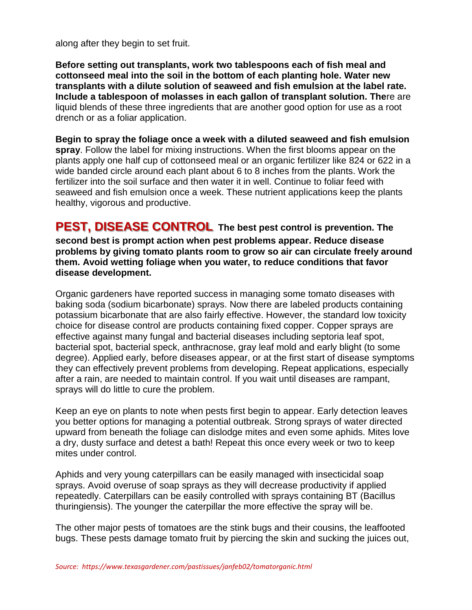along after they begin to set fruit.

**Before setting out transplants, work two tablespoons each of fish meal and cottonseed meal into the soil in the bottom of each planting hole. Water new transplants with a dilute solution of seaweed and fish emulsion at the label rate. Include a tablespoon of molasses in each gallon of transplant solution. The**re are liquid blends of these three ingredients that are another good option for use as a root drench or as a foliar application.

**Begin to spray the foliage once a week with a diluted seaweed and fish emulsion spray**. Follow the label for mixing instructions. When the first blooms appear on the plants apply one half cup of cottonseed meal or an organic fertilizer like 824 or 622 in a wide banded circle around each plant about 6 to 8 inches from the plants. Work the fertilizer into the soil surface and then water it in well. Continue to foliar feed with seaweed and fish emulsion once a week. These nutrient applications keep the plants healthy, vigorous and productive.

**PEST, DISEASE CONTROL The best pest control is prevention. The second best is prompt action when pest problems appear. Reduce disease problems by giving tomato plants room to grow so air can circulate freely around them. Avoid wetting foliage when you water, to reduce conditions that favor disease development.**

Organic gardeners have reported success in managing some tomato diseases with baking soda (sodium bicarbonate) sprays. Now there are labeled products containing potassium bicarbonate that are also fairly effective. However, the standard low toxicity choice for disease control are products containing fixed copper. Copper sprays are effective against many fungal and bacterial diseases including septoria leaf spot, bacterial spot, bacterial speck, anthracnose, gray leaf mold and early blight (to some degree). Applied early, before diseases appear, or at the first start of disease symptoms they can effectively prevent problems from developing. Repeat applications, especially after a rain, are needed to maintain control. If you wait until diseases are rampant, sprays will do little to cure the problem.

Keep an eye on plants to note when pests first begin to appear. Early detection leaves you better options for managing a potential outbreak. Strong sprays of water directed upward from beneath the foliage can dislodge mites and even some aphids. Mites love a dry, dusty surface and detest a bath! Repeat this once every week or two to keep mites under control.

Aphids and very young caterpillars can be easily managed with insecticidal soap sprays. Avoid overuse of soap sprays as they will decrease productivity if applied repeatedly. Caterpillars can be easily controlled with sprays containing BT (Bacillus thuringiensis). The younger the caterpillar the more effective the spray will be.

The other major pests of tomatoes are the stink bugs and their cousins, the leaffooted bugs. These pests damage tomato fruit by piercing the skin and sucking the juices out,